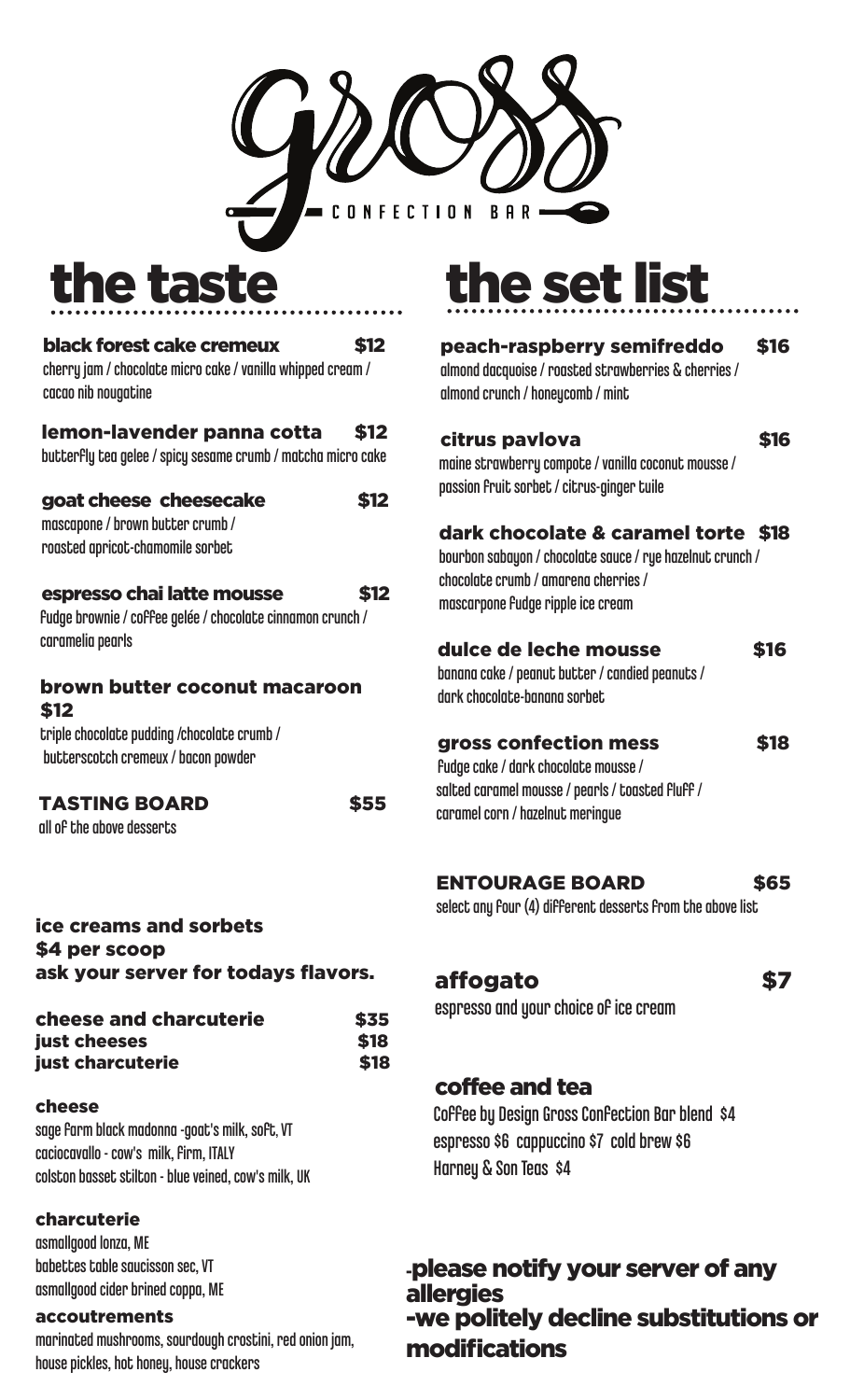

the taste

#### black forest cake cremeux \$12

cherry jam / chocolate micro cake / vanilla whipped cream / cacao nib nougatine

#### lemon-lavender panna cotta \$12

butterfly tea gelee / spicy sesame crumb / matcha micro cake

#### goat cheese cheesecake \$12

mascapone / brown butter crumb / roasted apricot-chamomile sorbet

#### espresso chai latte mousse \$12

fudge brownie / coffee gelée / chocolate cinnamon crunch / caramelia pearls

#### brown butter coconut macaroon \$12

triple chocolate pudding /chocolate crumb / butterscotch cremeux / bacon powder

#### TASTING BOARD \$55

all of the above desserts

#### ice creams and sorbets \$4 per scoop ask your server for todays flavors.

| cheese and charcuterie | \$35 |
|------------------------|------|
| <b>just cheeses</b>    | \$18 |
| just charcuterie       | \$18 |

#### cheese

sage farm black madonna -goat's milk, soft, VT caciocavallo - cow's milk, firm, ITALY colston basset stilton - blue veined, cow's milk, UK

#### charcuterie

asmallgood lonza, ME babettes table saucisson sec, VT asmallgood cider brined coppa, ME

#### accoutrements

marinated mushrooms, sourdough crostini, red onion jam, house pickles, hot honey, house crackers

## the set list

#### peach-raspberry semifreddo \$16

almond dacquoise / roasted strawberries & cherries / almond crunch / honeycomb / mint

#### citrus pavlova **\$16**

maine strawberry compote / vanilla coconut mousse / passion fruit sorbet / citrus-ginger tuile

#### dark chocolate & caramel torte \$18

bourbon sabayon / chocolate sauce / rye hazelnut crunch / chocolate crumb / amarena cherries / mascarpone fudge ripple ice cream

#### dulce de leche mousse \$16

banana cake / peanut butter / candied peanuts / dark chocolate-banana sorbet

#### gross confection mess \$18

fudge cake / dark chocolate mousse / salted caramel mousse / pearls / toasted fluff / caramel corn / hazelnut meringue

#### ENTOURAGE BOARD \$65

select any four (4) different desserts from the above list

### affogato \$7

espresso and your choice of ice cream

#### coffee and tea

Coffee by Design Gross Confection Bar blend \$4 espresso \$6 cappuccino \$7 cold brew \$6 Harney & Son Teas \$4

-please notify your server of any allergies -we politely decline substitutions or modifications